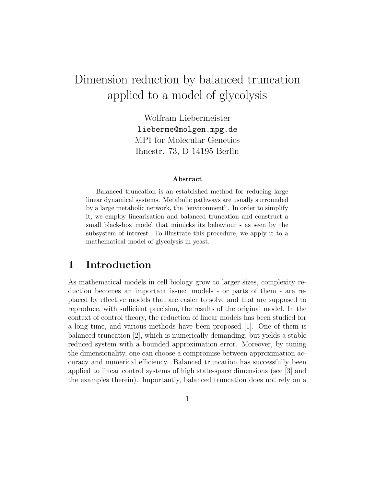# Dimension reduction by balanced truncation applied to a model of glycolysis

Wolfram Liebermeister lieberme@molgen.mpg.de MPI for Molecular Genetics Ihnestr. 73, D-14195 Berlin

#### Abstract

Balanced truncation is an established method for reducing large linear dynamical systems. Metabolic pathways are usually surrounded by a large metabolic network, the "environment". In order to simplify it, we employ linearisation and balanced truncation and construct a small black-box model that mimicks its behaviour - as seen by the subsystem of interest. To illustrate this procedure, we apply it to a mathematical model of glycolysis in yeast.

## 1 Introduction

As mathematical models in cell biology grow to larger sizes, complexity reduction becomes an important issue: models - or parts of them - are replaced by effective models that are easier to solve and that are supposed to reproduce, with sufficient precision, the results of the original model. In the context of control theory, the reduction of linear models has been studied for a long time, and various methods have been proposed [1]. One of them is balanced truncation [2], which is numerically demanding, but yields a stable reduced system with a bounded approximation error. Moreover, by tuning the dimensionality, one can choose a compromise between approximation accuracy and numerical efficiency. Balanced truncation has successfully been applied to linear control systems of high state-space dimensions (see [3] and the examples therein). Importantly, balanced truncation does not rely on a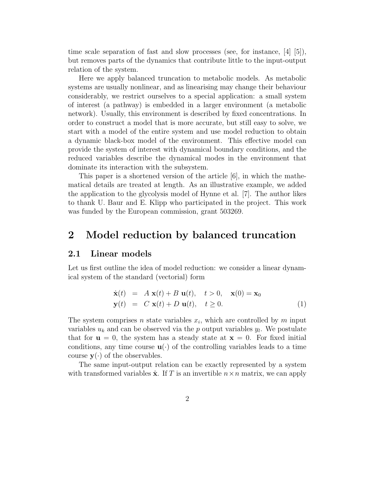time scale separation of fast and slow processes (see, for instance,  $|4|$   $|5|$ ), but removes parts of the dynamics that contribute little to the input-output relation of the system.

Here we apply balanced truncation to metabolic models. As metabolic systems are usually nonlinear, and as linearising may change their behaviour considerably, we restrict ourselves to a special application: a small system of interest (a pathway) is embedded in a larger environment (a metabolic network). Usually, this environment is described by fixed concentrations. In order to construct a model that is more accurate, but still easy to solve, we start with a model of the entire system and use model reduction to obtain a dynamic black-box model of the environment. This effective model can provide the system of interest with dynamical boundary conditions, and the reduced variables describe the dynamical modes in the environment that dominate its interaction with the subsystem.

This paper is a shortened version of the article  $[6]$ , in which the mathematical details are treated at length. As an illustrative example, we added the application to the glycolysis model of Hynne et al. [7]. The author likes to thank U. Baur and E. Klipp who participated in the project. This work was funded by the European commission, grant 503269.

## 2 Model reduction by balanced truncation

#### 2.1 Linear models

Let us first outline the idea of model reduction: we consider a linear dynamical system of the standard (vectorial) form

$$
\dot{\mathbf{x}}(t) = A \mathbf{x}(t) + B \mathbf{u}(t), \quad t > 0, \quad \mathbf{x}(0) = \mathbf{x}_0
$$
  
\n
$$
\mathbf{y}(t) = C \mathbf{x}(t) + D \mathbf{u}(t), \quad t \ge 0.
$$
\n(1)

The system comprises n state variables  $x_i$ , which are controlled by m input variables  $u_k$  and can be observed via the p output variables  $y_l$ . We postulate that for  $u = 0$ , the system has a steady state at  $x = 0$ . For fixed initial conditions, any time course  $\mathbf{u}(\cdot)$  of the controlling variables leads to a time course  $y(\cdot)$  of the observables.

The same input-output relation can be exactly represented by a system with transformed variables  $\hat{\mathbf{x}}$ . If T is an invertible  $n \times n$  matrix, we can apply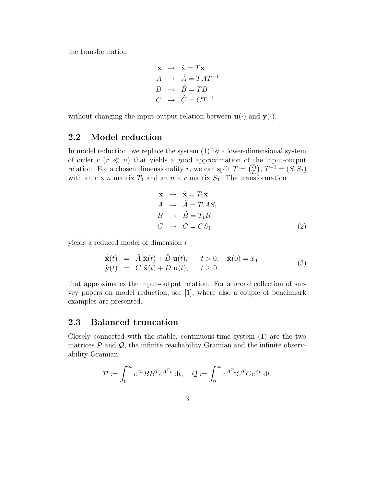the transformation

$$
\begin{array}{rcl}\n\mathbf{x} & \rightarrow & \hat{\mathbf{x}} = T\mathbf{x} \\
A & \rightarrow & \hat{A} = TAT^{-1} \\
B & \rightarrow & \hat{B} = TB \\
C & \rightarrow & \hat{C} = CT^{-1}\n\end{array}
$$

without changing the input-output relation between  $\mathbf{u}(\cdot)$  and  $\mathbf{y}(\cdot)$ .

## 2.2 Model reduction

In model reduction, we replace the system (1) by a lower-dimensional system of order  $r (r \ll n)$  that yields a good approximation of the input-output relation. For a chosen dimensionality r, we can split  $T = \begin{pmatrix} T_1 \\ T_2 \end{pmatrix}$  $(T_1)$ ,  $T^{-1} = (S_1 S_2)$ with an  $r \times n$  matrix  $T_1$  and an  $n \times r$  matrix  $S_1$ . The transformation

$$
\mathbf{x} \rightarrow \tilde{\mathbf{x}} = T_1 \mathbf{x}
$$
  
\n
$$
A \rightarrow \tilde{A} = T_1 A S_1
$$
  
\n
$$
B \rightarrow \tilde{B} = T_1 B
$$
  
\n
$$
C \rightarrow \tilde{C} = C S_1
$$
\n(2)

yields a reduced model of dimension r

$$
\dot{\tilde{\mathbf{x}}}(t) = \tilde{A} \tilde{\mathbf{x}}(t) + \tilde{B} \mathbf{u}(t), \quad t > 0, \quad \tilde{\mathbf{x}}(0) = \tilde{x}_0
$$
\n
$$
\tilde{\mathbf{y}}(t) = \tilde{C} \tilde{\mathbf{x}}(t) + D \mathbf{u}(t), \quad t \ge 0
$$
\n(3)

that approximates the input-output relation. For a broad collection of survey papers on model reduction, see [1], where also a couple of benchmark examples are presented.

### 2.3 Balanced truncation

Closely connected with the stable, continuous-time system (1) are the two matrices  $P$  and  $Q$ , the infinite reachability Gramian and the infinite observability Gramian:

$$
\mathcal{P} := \int_0^\infty e^{At} B B^T e^{A^T t} dt, \quad \mathcal{Q} := \int_0^\infty e^{A^T t} C^T C e^{At} dt.
$$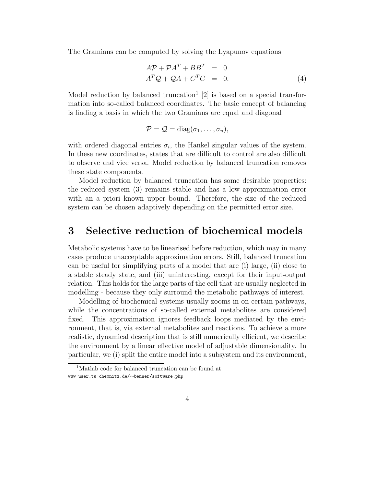The Gramians can be computed by solving the Lyapunov equations

$$
A\mathcal{P} + \mathcal{P}A^{T} + BB^{T} = 0
$$
  

$$
A^{T}Q + QA + C^{T}C = 0.
$$
 (4)

Model reduction by balanced truncation<sup>1</sup> [2] is based on a special transformation into so-called balanced coordinates. The basic concept of balancing is finding a basis in which the two Gramians are equal and diagonal

$$
\mathcal{P} = \mathcal{Q} = \text{diag}(\sigma_1, \ldots, \sigma_n),
$$

with ordered diagonal entries  $\sigma_i$ , the Hankel singular values of the system. In these new coordinates, states that are difficult to control are also difficult to observe and vice versa. Model reduction by balanced truncation removes these state components.

Model reduction by balanced truncation has some desirable properties: the reduced system (3) remains stable and has a low approximation error with an a priori known upper bound. Therefore, the size of the reduced system can be chosen adaptively depending on the permitted error size.

## 3 Selective reduction of biochemical models

Metabolic systems have to be linearised before reduction, which may in many cases produce unacceptable approximation errors. Still, balanced truncation can be useful for simplifying parts of a model that are (i) large, (ii) close to a stable steady state, and (iii) uninteresting, except for their input-output relation. This holds for the large parts of the cell that are usually neglected in modelling - because they only surround the metabolic pathways of interest.

Modelling of biochemical systems usually zooms in on certain pathways, while the concentrations of so-called external metabolites are considered fixed. This approximation ignores feedback loops mediated by the environment, that is, via external metabolites and reactions. To achieve a more realistic, dynamical description that is still numerically efficient, we describe the environment by a linear effective model of adjustable dimensionality. In particular, we (i) split the entire model into a subsystem and its environment,

<sup>&</sup>lt;sup>1</sup>Matlab code for balanced truncation can be found at www-user.tu-chemnitz.de/∼benner/software.php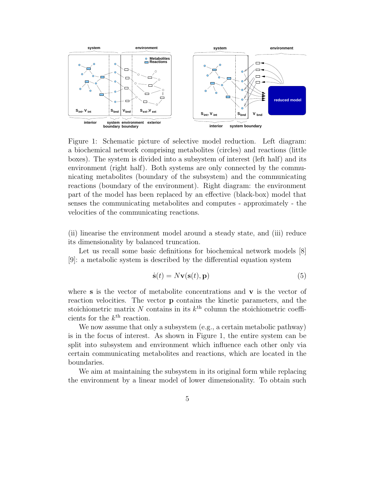

Figure 1: Schematic picture of selective model reduction. Left diagram: a biochemical network comprising metabolites (circles) and reactions (little boxes). The system is divided into a subsystem of interest (left half) and its environment (right half). Both systems are only connected by the communicating metabolites (boundary of the subsystem) and the communicating reactions (boundary of the environment). Right diagram: the environment part of the model has been replaced by an effective (black-box) model that senses the communicating metabolites and computes - approximately - the velocities of the communicating reactions.

(ii) linearise the environment model around a steady state, and (iii) reduce its dimensionality by balanced truncation.

Let us recall some basic definitions for biochemical network models [8] [9]: a metabolic system is described by the differential equation system

$$
\dot{\mathbf{s}}(t) = N\mathbf{v}(\mathbf{s}(t), \mathbf{p})\tag{5}
$$

where s is the vector of metabolite concentrations and  $\bf{v}$  is the vector of reaction velocities. The vector p contains the kinetic parameters, and the stoichiometric matrix N contains in its  $k^{\text{th}}$  column the stoichiometric coefficients for the  $k^{\text{th}}$  reaction.

We now assume that only a subsystem (e.g., a certain metabolic pathway) is in the focus of interest. As shown in Figure 1, the entire system can be split into subsystem and environment which influence each other only via certain communicating metabolites and reactions, which are located in the boundaries.

We aim at maintaining the subsystem in its original form while replacing the environment by a linear model of lower dimensionality. To obtain such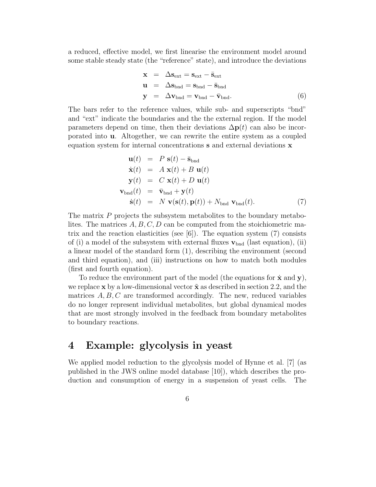a reduced, effective model, we first linearise the environment model around some stable steady state (the "reference" state), and introduce the deviations

$$
\mathbf{x} = \Delta \mathbf{s}_{ext} = \mathbf{s}_{ext} - \bar{\mathbf{s}}_{ext}
$$
  
\n
$$
\mathbf{u} = \Delta \mathbf{s}_{bnd} = \mathbf{s}_{bnd} - \bar{\mathbf{s}}_{bnd}
$$
  
\n
$$
\mathbf{y} = \Delta \mathbf{v}_{bnd} = \mathbf{v}_{bnd} - \bar{\mathbf{v}}_{bnd}.
$$
 (6)

The bars refer to the reference values, while sub- and superscripts "bnd" and "ext" indicate the boundaries and the the external region. If the model parameters depend on time, then their deviations  $\Delta p(t)$  can also be incorporated into u. Altogether, we can rewrite the entire system as a coupled equation system for internal concentrations s and external deviations x

$$
\mathbf{u}(t) = P \mathbf{s}(t) - \bar{\mathbf{s}}_{\text{bnd}} \n\dot{\mathbf{x}}(t) = A \mathbf{x}(t) + B \mathbf{u}(t) \n\mathbf{y}(t) = C \mathbf{x}(t) + D \mathbf{u}(t) \n\mathbf{v}_{\text{bnd}}(t) = \bar{\mathbf{v}}_{\text{bnd}} + \mathbf{y}(t) \n\dot{\mathbf{s}}(t) = N \mathbf{v}(\mathbf{s}(t), \mathbf{p}(t)) + N_{\text{bnd}} \mathbf{v}_{\text{bnd}}(t).
$$
\n(7)

The matrix P projects the subsystem metabolites to the boundary metabolites. The matrices  $A, B, C, D$  can be computed from the stoichiometric matrix and the reaction elasticities (see  $[6]$ ). The equation system  $(7)$  consists of (i) a model of the subsystem with external fluxes  $\mathbf{v}_{\text{bnd}}$  (last equation), (ii) a linear model of the standard form (1), describing the environment (second and third equation), and (iii) instructions on how to match both modules (first and fourth equation).

To reduce the environment part of the model (the equations for  $\dot{\mathbf{x}}$  and  $\mathbf{y}$ ), we replace x by a low-dimensional vector  $\tilde{\mathbf{x}}$  as described in section 2.2, and the matrices  $A, B, C$  are transformed accordingly. The new, reduced variables do no longer represent individual metabolites, but global dynamical modes that are most strongly involved in the feedback from boundary metabolites to boundary reactions.

# 4 Example: glycolysis in yeast

We applied model reduction to the glycolysis model of Hynne et al. [7] (as published in the JWS online model database [10]), which describes the production and consumption of energy in a suspension of yeast cells. The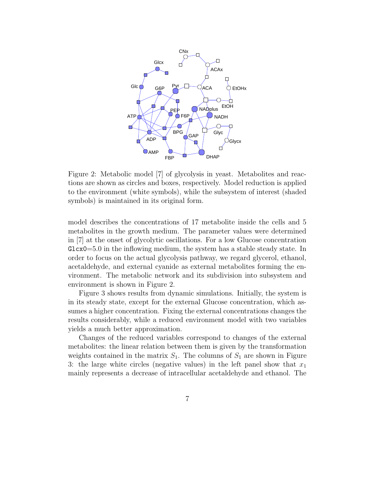

Figure 2: Metabolic model [7] of glycolysis in yeast. Metabolites and reactions are shown as circles and boxes, respectively. Model reduction is applied to the environment (white symbols), while the subsystem of interest (shaded symbols) is maintained in its original form.

model describes the concentrations of 17 metabolite inside the cells and 5 metabolites in the growth medium. The parameter values were determined in [7] at the onset of glycolytic oscillations. For a low Glucose concentration  $Glcx0=5.0$  in the inflowing medium, the system has a stable steady state. In order to focus on the actual glycolysis pathway, we regard glycerol, ethanol, acetaldehyde, and external cyanide as external metabolites forming the environment. The metabolic network and its subdivision into subsystem and environment is shown in Figure 2.

Figure 3 shows results from dynamic simulations. Initially, the system is in its steady state, except for the external Glucose concentration, which assumes a higher concentration. Fixing the external concentrations changes the results considerably, while a reduced environment model with two variables yields a much better approximation.

Changes of the reduced variables correspond to changes of the external metabolites: the linear relation between them is given by the transformation weights contained in the matrix  $S_1$ . The columns of  $S_1$  are shown in Figure 3: the large white circles (negative values) in the left panel show that  $x_1$ mainly represents a decrease of intracellular acetaldehyde and ethanol. The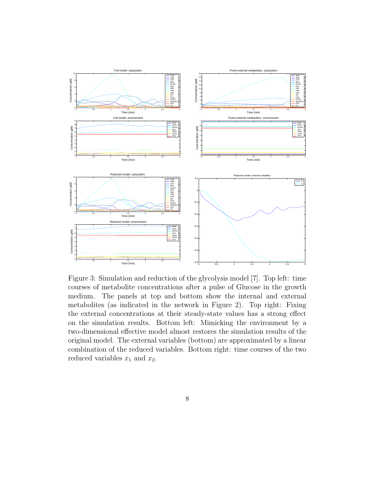

Figure 3: Simulation and reduction of the glycolysis model [7]. Top left: time courses of metabolite concentrations after a pulse of Glucose in the growth medium. The panels at top and bottom show the internal and external metabolites (as indicated in the network in Figure 2). Top right: Fixing the external concentrations at their steady-state values has a strong effect on the simulation results. Bottom left: Mimicking the environment by a two-dimensional effective model almost restores the simulation results of the original model. The external variables (bottom) are approximated by a linear combination of the reduced variables. Bottom right: time courses of the two reduced variables  $x_1$  and  $x_2$ .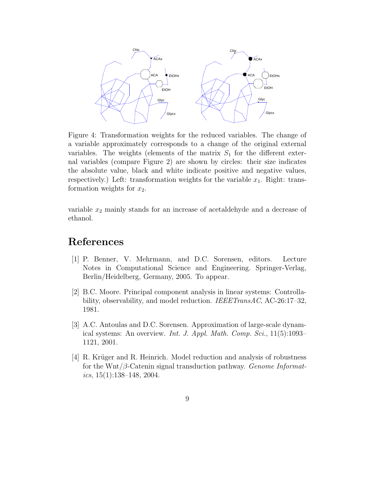

Figure 4: Transformation weights for the reduced variables. The change of a variable approximately corresponds to a change of the original external variables. The weights (elements of the matrix  $S_1$  for the different external variables (compare Figure 2) are shown by circles: their size indicates the absolute value, black and white indicate positive and negative values, respectively.) Left: transformation weights for the variable  $x_1$ . Right: transformation weights for  $x_2$ .

variable  $x_2$  mainly stands for an increase of acetaldehyde and a decrease of ethanol.

# References

- [1] P. Benner, V. Mehrmann, and D.C. Sorensen, editors. Lecture Notes in Computational Science and Engineering. Springer-Verlag, Berlin/Heidelberg, Germany, 2005. To appear.
- [2] B.C. Moore. Principal component analysis in linear systems: Controllability, observability, and model reduction. *IEEETransAC*, AC-26:17-32, 1981.
- [3] A.C. Antoulas and D.C. Sorensen. Approximation of large-scale dynamical systems: An overview. Int. J. Appl. Math. Comp. Sci., 11(5):1093– 1121, 2001.
- $[4]$  R. Krüger and R. Heinrich. Model reduction and analysis of robustness for the Wnt/ $\beta$ -Catenin signal transduction pathway. Genome Informatics,  $15(1):138-148$ ,  $2004$ .